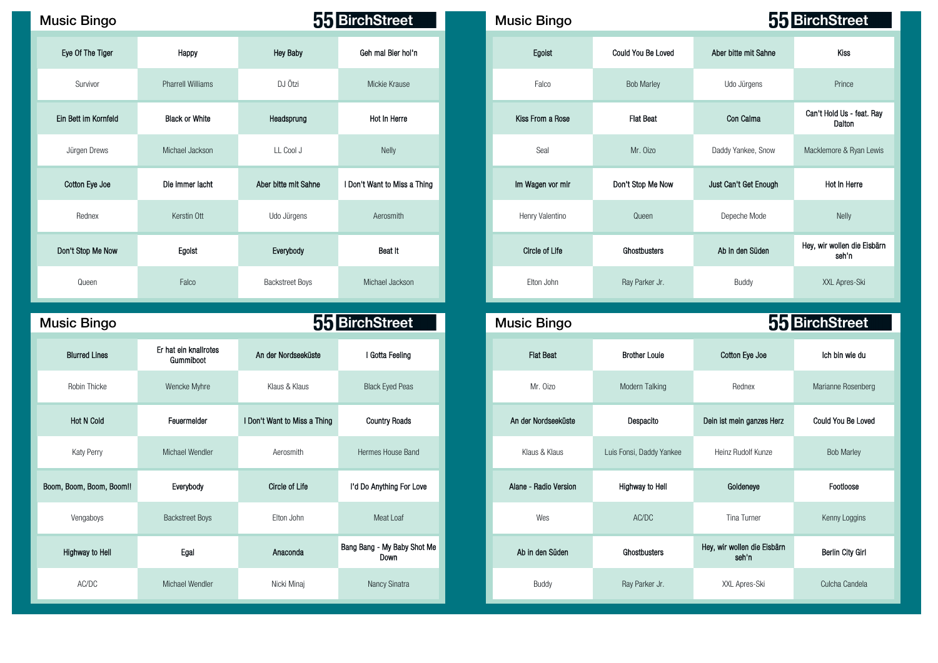| <b>Music Bingo</b>   |                          |                        | 55 BirchStreet               | <b>Music Bingo</b>    |                    |                       | 55 BirchStree                |
|----------------------|--------------------------|------------------------|------------------------------|-----------------------|--------------------|-----------------------|------------------------------|
| Eye Of The Tiger     | Happy                    | <b>Hey Baby</b>        | Geh mal Bier hol'n           | Egoist                | Could You Be Loved | Aber bitte mit Sahne  | Kiss                         |
| Survivor             | <b>Pharrell Williams</b> | DJ Ötzi                | Mickie Krause                | Falco                 | <b>Bob Marley</b>  | Udo Jürgens           | Prince                       |
| Ein Bett im Kornfeld | <b>Black or White</b>    | Headsprung             | Hot In Herre                 | Kiss From a Rose      | <b>Flat Beat</b>   | Con Calma             | Can't Hold Us - fe<br>Dalton |
| Jürgen Drews         | Michael Jackson          | LL Cool J              | Nelly                        | Seal                  | Mr. Oizo           | Daddy Yankee, Snow    | Macklemore & Ryar            |
| Cotton Eye Joe       | Die immer lacht          | Aber bitte mit Sahne   | I Don't Want to Miss a Thing | Im Wagen vor mir      | Don't Stop Me Now  | Just Can't Get Enough | Hot In Herre                 |
| Rednex               | Kerstin Ott              | Udo Jürgens            | Aerosmith                    | Henry Valentino       | Queen              | Depeche Mode          | <b>Nelly</b>                 |
| Don't Stop Me Now    | Egoist                   | Everybody              | Beat It                      | <b>Circle of Life</b> | Ghostbusters       | Ab in den Süden       | Hey, wir wollen die<br>seh'n |
| Queen                | Falco                    | <b>Backstreet Boys</b> | Michael Jackson              | Elton John            | Ray Parker Jr.     | Buddy                 | XXL Apres-SI                 |

| Music Binqo |  |
|-------------|--|
|             |  |

Music Bingo **Music Bingo Music Bingo Music Bingo Music Bingo** 

| <b>Blurred Lines</b>     | Er hat ein knallrotes<br>Gummiboot | An der Nordseeküste          | I Gotta Feeling                     | <b>Flat Beat</b>      | <b>Brother Louie</b>     | Cotton Eye Joe                       |  |
|--------------------------|------------------------------------|------------------------------|-------------------------------------|-----------------------|--------------------------|--------------------------------------|--|
| Robin Thicke             | Wencke Myhre                       | Klaus & Klaus                | <b>Black Eyed Peas</b>              | Mr. Oizo              | Modern Talking           | Rednex                               |  |
| <b>Hot N Cold</b>        | Feuermelder                        | I Don't Want to Miss a Thing | <b>Country Roads</b>                | An der Nordseeküste   | Despacito                | Dein ist mein ganzes Herz            |  |
| Katy Perry               | Michael Wendler                    | Aerosmith                    | Hermes House Band                   | Klaus & Klaus         | Luis Fonsi, Daddy Yankee | Heinz Rudolf Kunze                   |  |
| Boom, Boom, Boom, Boom!! | Everybody                          | Circle of Life               | I'd Do Anything For Love            | Alane - Radio Version | Highway to Hell          | Goldeneye                            |  |
| Vengaboys                | <b>Backstreet Boys</b>             | Elton John                   | Meat Loaf                           | Wes                   | AC/DC                    | Tina Turner                          |  |
| Highway to Hell          | Egal                               | Anaconda                     | Bang Bang - My Baby Shot Me<br>Down | Ab in den Süden       | Ghostbusters             | Hey, wir wollen die Eisbärn<br>seh'n |  |
| AC/DC                    | Michael Wendler                    | Nicki Minaj                  | Nancy Sinatra                       | Buddy                 | Ray Parker Jr.           | XXL Apres-Ski                        |  |

| ısic Bingo           |                          |                        | 55 BirchStreet               | <b>Music Bingo</b> |                    |                       | 55 BirchStreet                       |
|----------------------|--------------------------|------------------------|------------------------------|--------------------|--------------------|-----------------------|--------------------------------------|
| Eye Of The Tiger     | Happy                    | Hey Baby               | Geh mal Bier hol'n           | Egoist             | Could You Be Loved | Aber bitte mit Sahne  | Kiss                                 |
| Survivor             | <b>Pharrell Williams</b> | DJ Ötzi                | Mickie Krause                | Falco              | <b>Bob Marley</b>  | Udo Jürgens           | Prince                               |
| Ein Bett im Kornfeld | <b>Black or White</b>    | Headsprung             | Hot In Herre                 | Kiss From a Rose   | <b>Flat Beat</b>   | Con Calma             | Can't Hold Us - feat. Ray<br>Dalton  |
| Jürgen Drews         | Michael Jackson          | LL Cool J              | Nelly                        | Seal               | Mr. Oizo           | Daddy Yankee, Snow    | Macklemore & Ryan Lewis              |
| Cotton Eye Joe       | Die immer lacht          | Aber bitte mit Sahne   | I Don't Want to Miss a Thing | Im Wagen vor mir   | Don't Stop Me Now  | Just Can't Get Enough | Hot In Herre                         |
| Rednex               | Kerstin Ott              | Udo Jürgens            | Aerosmith                    | Henry Valentino    | Queen              | Depeche Mode          | Nelly                                |
| Don't Stop Me Now    | Egoist                   | Everybody              | Beat It                      | Circle of Life     | Ghostbusters       | Ab in den Süden       | Hey, wir wollen die Eisbärn<br>seh'n |
| Queen                | Falco                    | <b>Backstreet Boys</b> | Michael Jackson              | Elton John         | Ray Parker Jr.     | Buddy                 | XXL Apres-Ski                        |

| ic Bingo             |                                    |                              | 55 BirchStreet                      |
|----------------------|------------------------------------|------------------------------|-------------------------------------|
| <b>Blurred Lines</b> | Er hat ein knallrotes<br>Gummiboot | An der Nordseeküste          | I Gotta Feeling                     |
| Robin Thicke         | Wencke Myhre                       | Klaus & Klaus                | <b>Black Eyed Peas</b>              |
| <b>Hot N Cold</b>    | Feuermelder                        | I Don't Want to Miss a Thing | <b>Country Roads</b>                |
| Katy Perry           | Michael Wendler                    | Aerosmith                    | Hermes House Band                   |
| oom, Boom, Boom!!    | Everybody                          | Circle of Life               | I'd Do Anything For Love            |
| Vengaboys            | <b>Backstreet Boys</b>             | Elton John                   | Meat Loaf                           |
| ighway to Hell       | Egal                               | Anaconda                     | Bang Bang - My Baby Shot Me<br>Down |
| AC/DC                | Michael Wendler                    | Nicki Minaj                  | Nancy Sinatra                       |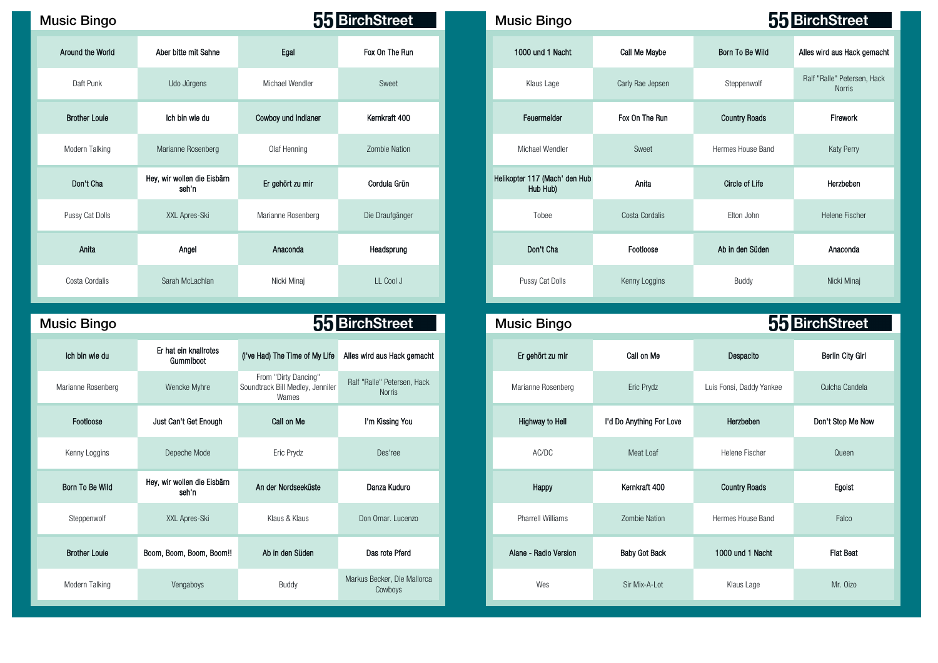| <b>Music Bingo</b>   |                                      |                     | 55 BirchStreet  | <b>Music Bingo</b>                        |                  |                       | 55 BirchStree                        |
|----------------------|--------------------------------------|---------------------|-----------------|-------------------------------------------|------------------|-----------------------|--------------------------------------|
| Around the World     | Aber bitte mit Sahne                 | Egal                | Fox On The Run  | 1000 und 1 Nacht                          | Call Me Maybe    | Born To Be Wild       | Alles wird aus Hack                  |
| Daft Punk            | Udo Jürgens                          | Michael Wendler     | Sweet           | Klaus Lage                                | Carly Rae Jepsen | Steppenwolf           | Ralf "Ralle" Peters<br><b>Norris</b> |
| <b>Brother Louie</b> | Ich bin wie du                       | Cowboy und Indianer | Kernkraft 400   | Feuermelder                               | Fox On The Run   | <b>Country Roads</b>  | Firework                             |
| Modern Talking       | Marianne Rosenberg                   | Olaf Henning        | Zombie Nation   | Michael Wendler                           | Sweet            | Hermes House Band     | Katy Perry                           |
| Don't Cha            | Hey, wir wollen die Eisbärn<br>seh n | Er gehört zu mir    | Cordula Grün    | Helikopter 117 (Mach' den Hub<br>Hub Hub) | Anita            | <b>Circle of Life</b> | Herzbeben                            |
| Pussy Cat Dolls      | XXL Apres-Ski                        | Marianne Rosenberg  | Die Draufgänger | Tobee                                     | Costa Cordalis   | Elton John            | <b>Helene Fisch</b>                  |
| Anita                | Angel                                | Anaconda            | Headsprung      | Don't Cha                                 | Footloose        | Ab in den Süden       | Anaconda                             |
| Costa Cordalis       | Sarah McLachlan                      | Nicki Minaj         | LL Cool J       | Pussy Cat Dolls                           | Kenny Loggins    | Buddy                 | Nicki Mina                           |

Music Bingo **Music Bingo Music Bingo Music Bingo Music Bingo Music Bingo Music Bingo Music Bingo** 

| Ich bin wie du       | Er hat ein knallrotes<br>Gummiboot   | (I've Had) The Time of My Life                                    | Alles wird aus Hack gemacht            | Er gehört zu mir         | Call on Me               | Despacito                |  |
|----------------------|--------------------------------------|-------------------------------------------------------------------|----------------------------------------|--------------------------|--------------------------|--------------------------|--|
| Marianne Rosenberg   | Wencke Myhre                         | From "Dirty Dancing"<br>Soundtrack Bill Medley, Jenniler<br>Wames | Ralf "Ralle" Petersen, Hack<br>Norris  | Marianne Rosenberg       | Eric Prydz               | Luis Fonsi, Daddy Yankee |  |
| Footloose            | Just Can't Get Enough                | Call on Me                                                        | I'm Kissing You                        | Highway to Hell          | I'd Do Anything For Love | Herzbeben                |  |
| Kenny Loggins        | Depeche Mode                         | Eric Prydz                                                        | Des'ree                                | AC/DC                    | Meat Loaf                | Helene Fischer           |  |
| Born To Be Wild      | Hey, wir wollen die Eisbärn<br>seh'n | An der Nordseeküste                                               | Danza Kuduro                           | Happy                    | Kernkraft 400            | <b>Country Roads</b>     |  |
| Steppenwolf          | XXL Apres-Ski                        | Klaus & Klaus                                                     | Don Omar. Lucenzo                      | <b>Pharrell Williams</b> | <b>Zombie Nation</b>     | Hermes House Band        |  |
| <b>Brother Louie</b> | Boom, Boom, Boom, Boom!!             | Ab in den Süden                                                   | Das rote Pferd                         | Alane - Radio Version    | <b>Baby Got Back</b>     | 1000 und 1 Nacht         |  |
| Modern Talking       | Vengaboys                            | Buddy                                                             | Markus Becker, Die Mallorca<br>Cowboys | Wes                      | Sir Mix-A-Lot            | Klaus Lage               |  |

| sic Bingo            |                                      |                     | 55 BirchStreet  | <b>Music Bingo</b>                        |                  |                       | 55 BirchStreet                        |
|----------------------|--------------------------------------|---------------------|-----------------|-------------------------------------------|------------------|-----------------------|---------------------------------------|
| Around the World     | Aber bitte mit Sahne                 | Egal                | Fox On The Run  | 1000 und 1 Nacht                          | Call Me Maybe    | Born To Be Wild       | Alles wird aus Hack gemacht           |
| Daft Punk            | Udo Jürgens                          | Michael Wendler     | Sweet           | Klaus Lage                                | Carly Rae Jepsen | Steppenwolf           | Ralf "Ralle" Petersen, Hack<br>Norris |
| <b>Brother Louie</b> | Ich bin wie du                       | Cowboy und Indianer | Kernkraft 400   | Feuermelder                               | Fox On The Run   | <b>Country Roads</b>  | Firework                              |
| Modern Talking       | Marianne Rosenberg                   | Olaf Henning        | Zombie Nation   | Michael Wendler                           | Sweet            | Hermes House Band     | Katy Perry                            |
| Don't Cha            | Hey, wir wollen die Eisbärn<br>seh n | Er gehört zu mir    | Cordula Grün    | Helikopter 117 (Mach' den Hub<br>Hub Hub) | Anita            | <b>Circle of Life</b> | Herzbeben                             |
| Pussy Cat Dolls      | XXL Apres-Ski                        | Marianne Rosenberg  | Die Draufgänger | Tobee                                     | Costa Cordalis   | Elton John            | Helene Fischer                        |
| Anita                | Angel                                | Anaconda            | Headsprung      | Don't Cha                                 | Footloose        | Ab in den Süden       | Anaconda                              |
| Costa Cordalis       | Sarah McLachlan                      | Nicki Minaj         | LL Cool J       | Pussy Cat Dolls                           | Kenny Loggins    | Buddy                 | Nicki Minaj                           |

| <b>Bingo</b>  |                                      |                                                                   | 55 BirchStreet                               | <b>Music Bingo</b>       |                          | 55 BirchStreet           |  |
|---------------|--------------------------------------|-------------------------------------------------------------------|----------------------------------------------|--------------------------|--------------------------|--------------------------|--|
| ו bin wie du  | Er hat ein knallrotes<br>Gummiboot   | (I've Had) The Time of My Life                                    | Alles wird aus Hack gemacht                  | Er gehört zu mir         | Call on Me               | Despacito                |  |
| nne Rosenberg | Wencke Myhre                         | From "Dirty Dancing"<br>Soundtrack Bill Medley, Jenniler<br>Wames | Ralf "Ralle" Petersen, Hack<br><b>Norris</b> | Marianne Rosenberg       | Eric Prydz               | Luis Fonsi, Daddy Yankee |  |
| Footloose     | Just Can't Get Enough                | Call on Me                                                        | I'm Kissing You                              | <b>Highway to Hell</b>   | I'd Do Anything For Love | Herzbeben                |  |
| nny Loggins   | Depeche Mode                         | Eric Prydz                                                        | Des'ree                                      | AC/DC                    | Meat Loaf                | Helene Fischer           |  |
| n To Be Wild  | Hey, wir wollen die Eisbärn<br>seh'n | An der Nordseeküste                                               | Danza Kuduro                                 | Happy                    | Kernkraft 400            | <b>Country Roads</b>     |  |
| teppenwolf    | XXL Apres-Ski                        | Klaus & Klaus                                                     | Don Omar. Lucenzo                            | <b>Pharrell Williams</b> | Zombie Nation            | Hermes House Band        |  |
| other Louie   | Boom, Boom, Boom, Boom!!             | Ab in den Süden                                                   | Das rote Pferd                               | Alane - Radio Version    | <b>Baby Got Back</b>     | 1000 und 1 Nacht         |  |
| dern Talking  | Vengaboys                            | Buddy                                                             | Markus Becker, Die Mallorca<br>Cowboys       | Wes                      | Sir Mix-A-Lot            | Klaus Lage               |  |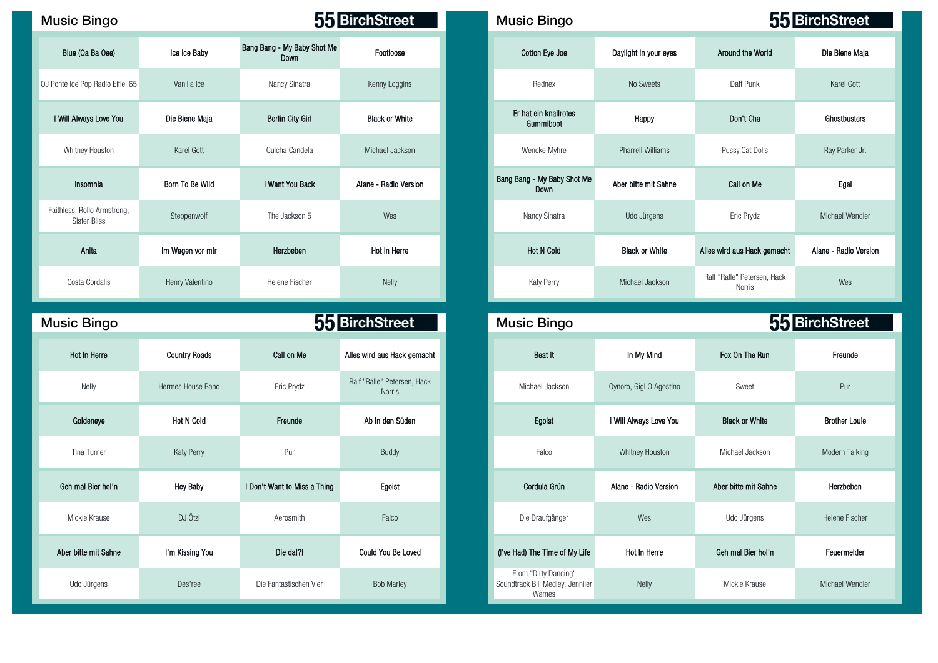| <b>Music Bingo</b>                                 |                  |                                     | 55 BirchStreet        | <b>Music Bingo</b>                         |                          |                                       | 55 BirchStree   |
|----------------------------------------------------|------------------|-------------------------------------|-----------------------|--------------------------------------------|--------------------------|---------------------------------------|-----------------|
| Blue (Oa Ba Oee)                                   | Ice Ice Baby     | Bang Bang - My Baby Shot Me<br>Down | Footloose             | Cotton Eye Joe                             | Daylight in your eyes    | Around the World                      | Die Biene M     |
| OJ Ponte Ice Pop Radio Eiflel 65                   | Vanilla Ice      | Nancy Sinatra                       | Kenny Loggins         | Rednex                                     | No Sweets                | Daft Punk                             | Karel Gott      |
| I Will Always Love You                             | Die Biene Maja   | Berlin City Girl                    | <b>Black or White</b> | Er hat ein knallrotes<br>Gummiboot         | Happy                    | Don't Cha                             | Ghostbuste      |
| Whitney Houston                                    | Karel Gott       | Culcha Candela                      | Michael Jackson       | Wencke Myhre                               | <b>Pharrell Williams</b> | Pussy Cat Dolls                       | Ray Parker      |
| Insomnia                                           | Born To Be Wild  | I Want You Back                     | Alane - Radio Version | Bang Bang - My Baby Shot Me<br><b>Down</b> | Aber bitte mit Sahne     | Call on Me                            | Egal            |
| Faithless, Rollo Armstrong,<br><b>Sister Bliss</b> | Steppenwolf      | The Jackson 5                       | Wes                   | Nancy Sinatra                              | Udo Jürgens              | Eric Prydz                            | Michael Wen     |
| Anita                                              | Im Wagen vor mir | Herzbeben                           | Hot In Herre          | <b>Hot N Cold</b>                          | <b>Black or White</b>    | Alles wird aus Hack gemacht           | Alane - Radio V |
| Costa Cordalis                                     | Henry Valentino  | Helene Fischer                      | <b>Nelly</b>          | Katy Perry                                 | Michael Jackson          | Ralf "Ralle" Petersen, Hack<br>Norris | Wes             |

| <b>Music Bingo</b>   |                      |                              | 55 BirchStreet                               | <b>Music Bingo</b>                                                |                         |                       | 55 BirchStreet        |
|----------------------|----------------------|------------------------------|----------------------------------------------|-------------------------------------------------------------------|-------------------------|-----------------------|-----------------------|
| Hot In Herre         | <b>Country Roads</b> | Call on Me                   | Alles wird aus Hack gemacht                  | Beat It                                                           | In My Mind              | Fox On The Run        | Freunde               |
| Nelly                | Hermes House Band    | Eric Prydz                   | Ralf "Ralle" Petersen, Hack<br><b>Norris</b> | Michael Jackson                                                   | Oynoro, Gigl O'Agostino | Sweet                 | Pur                   |
| Goldeneye            | <b>Hot N Cold</b>    | Freunde                      | Ab in den Süden                              | Egoist                                                            | I Will Always Love You  | <b>Black or White</b> | <b>Brother Louie</b>  |
| Tina Turner          | Katy Perry           | Pur                          | <b>Buddy</b>                                 | Falco                                                             | Whitney Houston         | Michael Jackson       | Modern Talking        |
| Geh mal Bier hol'n   | <b>Hey Baby</b>      | I Don't Want to Miss a Thing | Egoist                                       | Cordula Grün                                                      | Alane - Radio Version   | Aber bitte mit Sahne  | Herzbeben             |
| Mickie Krause        | DJ Ötzi              | Aerosmith                    | Falco                                        | Die Draufgänger                                                   | Wes                     | Udo Jürgens           | <b>Helene Fischer</b> |
| Aber bitte mit Sahne | I'm Kissing You      | Die dal?!                    | Could You Be Loved                           | (I've Had) The Time of My Life                                    | Hot In Herre            | Geh mal Bier hol'n    | Feuermelder           |
| Udo Jürgens          | Des'ree              | Die Fantastischen Vier       | <b>Bob Marley</b>                            | From "Dirty Dancing"<br>Soundtrack Bill Medley, Jenniler<br>Wames | Nelly                   | Mickie Krause         | Michael Wendle        |

| sic Bingo                              |                  | 55 BirchStreet                             |                       |  | <b>Music Bingo</b>                  |                          | 55 BirchStreet                        |                       |  |
|----------------------------------------|------------------|--------------------------------------------|-----------------------|--|-------------------------------------|--------------------------|---------------------------------------|-----------------------|--|
| Blue (Oa Ba Oee)                       | Ice Ice Baby     | Bang Bang - My Baby Shot Me<br><b>Down</b> | Footloose             |  | Cotton Eye Joe                      | Daylight in your eyes    | Around the World                      | Die Biene Maja        |  |
| e Ice Pop Radio Eiflel 65              | Vanilla Ice      | Nancy Sinatra                              | Kenny Loggins         |  | Rednex                              | No Sweets                | Daft Punk                             | Karel Gott            |  |
| ill Always Love You                    | Die Biene Maja   | <b>Berlin City Girl</b>                    | <b>Black or White</b> |  | Er hat ein knallrotes<br>Gummiboot  | Happy                    | Don't Cha                             | Ghostbusters          |  |
| Whitney Houston                        | Karel Gott       | Culcha Candela                             | Michael Jackson       |  | Wencke Myhre                        | <b>Pharrell Williams</b> | Pussy Cat Dolls                       | Ray Parker Jr.        |  |
| Insomnia                               | Born To Be Wild  | I Want You Back                            | Alane - Radio Version |  | Bang Bang - My Baby Shot Me<br>Down | Aber bitte mit Sahne     | Call on Me                            | Egal                  |  |
| less, Rollo Armstrong,<br>Sister Bliss | Steppenwolf      | The Jackson 5                              | Wes                   |  | Nancy Sinatra                       | Udo Jürgens              | Eric Prydz                            | Michael Wendler       |  |
| Anita                                  | Im Wagen vor mir | Herzbeben                                  | Hot In Herre          |  | <b>Hot N Cold</b>                   | <b>Black or White</b>    | Alles wird aus Hack gemacht           | Alane - Radio Version |  |
| Costa Cordalis                         | Henry Valentino  | Helene Fischer                             | Nelly                 |  | Katy Perry                          | Michael Jackson          | Ralf "Ralle" Petersen, Hack<br>Norris | Wes                   |  |

| c Bingo         |                      |                              | 55 BirchStreet                               | <b>Music Bingo</b>                                                |                         |                       | 55 BirchStreet       |
|-----------------|----------------------|------------------------------|----------------------------------------------|-------------------------------------------------------------------|-------------------------|-----------------------|----------------------|
| lot In Herre    | <b>Country Roads</b> | Call on Me                   | Alles wird aus Hack gemacht                  | Beat It                                                           | In My Mind              | Fox On The Run        | Freunde              |
| Nelly           | Hermes House Band    | Eric Prydz                   | Ralf "Ralle" Petersen, Hack<br><b>Norris</b> | Michael Jackson                                                   | Oynoro, Gigl O'Agostlno | Sweet                 | Pur                  |
| Goldeneye       | <b>Hot N Cold</b>    | Freunde                      | Ab in den Süden                              | Egoist                                                            | I Will Always Love You  | <b>Black or White</b> | <b>Brother Louie</b> |
| Tina Turner     | Katy Perry           | Pur                          | Buddy                                        | Falco                                                             | Whitney Houston         | Michael Jackson       | Modern Talking       |
| mal Bier hol'n  | <b>Hey Baby</b>      | I Don't Want to Miss a Thing | Egoist                                       | Cordula Grün                                                      | Alane - Radio Version   | Aber bitte mit Sahne  | Herzbeben            |
| lickie Krause   | DJ Ötzi              | Aerosmith                    | Falco                                        | Die Draufgänger                                                   | Wes                     | Udo Jürgens           | Helene Fischer       |
| bitte mit Sahne | I'm Kissing You      | Die da!?!                    | Could You Be Loved                           | (I've Had) The Time of My Life                                    | Hot In Herre            | Geh mal Bier hol'n    | Feuermelder          |
| Jdo Jürgens     | Des'ree              | Die Fantastischen Vier       | <b>Bob Marley</b>                            | From "Dirty Dancing"<br>Soundtrack Bill Medley, Jenniler<br>Wames | Nelly                   | Mickie Krause         | Michael Wendler      |